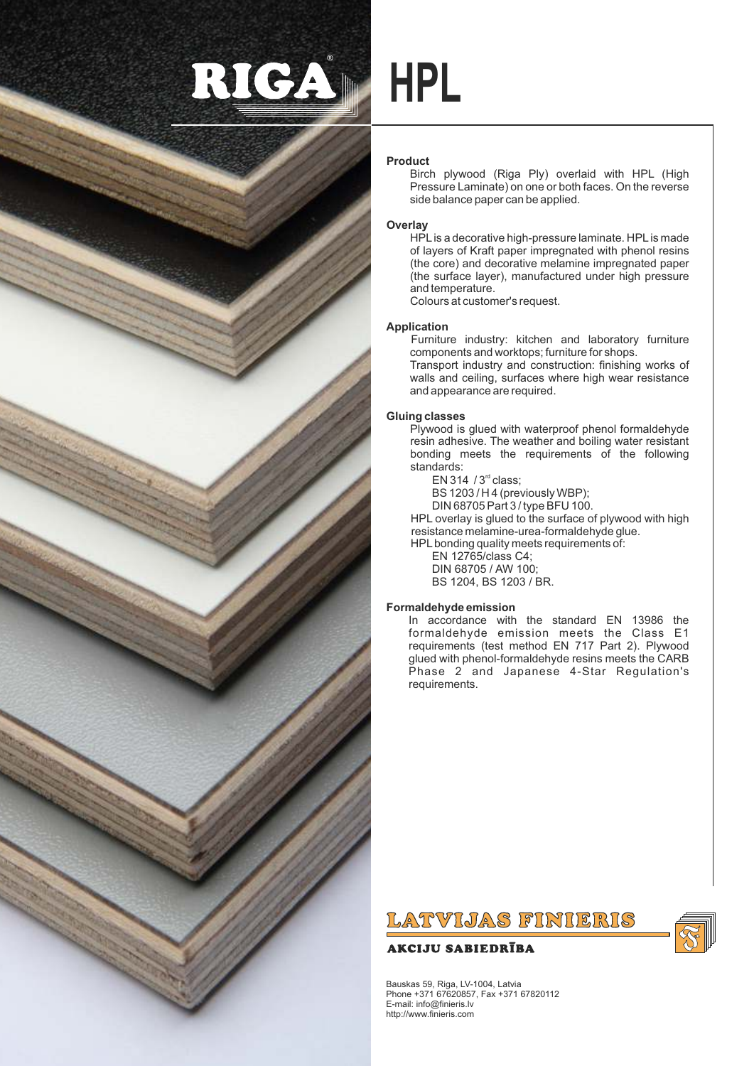



# **HPL**

# **Product**

Birch plywood (Riga Ply) overlaid with HPL (High Pressure Laminate) on one or both faces. On the reverse side balance paper can be applied.

# **Overlay**

HPLis a decorative high-pressure laminate. HPLis made of layers of Kraft paper impregnated with phenol resins (the core) and decorative melamine impregnated paper (the surface layer), manufactured under high pressure and temperature.

Colours at customer's request.

and appearance are required.

# **Application**

Furniture industry: kitchen and laboratory furniture components and worktops; furniture for shops. Transport industry and construction: finishing works of walls and ceiling, surfaces where high wear resistance

# **Gluing classes**

Plywood is glued with waterproof phenol formaldehyde resin adhesive. The weather and boiling water resistant bonding meets the requirements of the following standards:

 $EN 314 / 3<sup>rd</sup> class:$ 

BS 1203 / H 4 (previously WBP);

DIN 68705 Part 3 / type BFU 100.

HPL overlay is glued to the surface of plywood with high resistance melamine-urea-formaldehyde glue.

HPLbonding quality meets requirements of:

EN 12765/class C4; DIN 68705 / AW 100; BS 1204, BS 1203 / BR.

# **Formaldehyde emission**

In accordance with the standard EN 13986 the formaldehyde emission meets the Class E1 requirements (test method EN 717 Part 2). Plywood glued with phenol-formaldehyde resins meets the CARB Phase 2 and Japanese 4-Star Regulation's requirements.

# LATVIJAS FINIERIS

# **AKCIJU SABIEDRĪBA**



Bauskas 59, Riga, LV-1004, Latvia Phone +371 67620857, Fax +371 67820112 E-mail: info@finieris.lv http://www.finieris.com